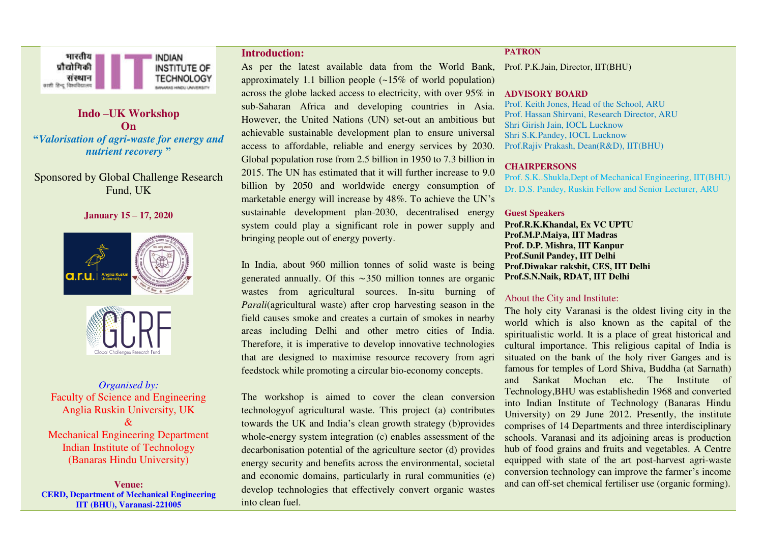

## **Indo –UK Workshop On "***Valorisation of agri-waste for energy and nutrient recovery* **"**

## Sponsored by Global Challenge Research Fund, UK

#### **January 15 – 17, 2020**





*Organised by:*  Faculty of Science and Engineering Anglia Ruskin University, UK  $\mathcal{R}_{\mathcal{L}}$ Mechanical Engineering Department Indian Institute of Technology (Banaras Hindu University)

**Venue: CERD, Department of Mechanical Engineering IIT (BHU), Varanasi-221005** 

#### **Introduction:**

As per the latest available data from the World Bank, Prof. P.K.Jain, Director, IIT(BHU) approximately 1.1 billion people (~15% of world population) across the globe lacked access to electricity, with over 95% in **ADVISORY BOARD**  sub-Saharan Africa and developing countries in Asia. However, the United Nations (UN) set-out an ambitious but achievable sustainable development plan to ensure universal access to affordable, reliable and energy services by 2030. Global population rose from 2.5 billion in 1950 to 7.3 billion in 2015. The UN has estimated that it will further increase to 9.0 billion by 2050 and worldwide energy consumption of marketable energy will increase by 48%. To achieve the UN's sustainable development plan-2030, decentralised energy system could play a significant role in power supply and bringing people out of energy poverty.

In India, about 960 million tonnes of solid waste is being generated annually. Of this ∼350 million tonnes are organic wastes from agricultural sources. In-situ burning of *Parali*(agricultural waste) after crop harvesting season in the field causes smoke and creates a curtain of smokes in nearby areas including Delhi and other metro cities of India. Therefore, it is imperative to develop innovative technologies that are designed to maximise resource recovery from agri feedstock while promoting a circular bio-economy concepts.

The workshop is aimed to cover the clean conversion technologyof agricultural waste. This project (a) contributes towards the UK and India's clean growth strategy (b)provides whole-energy system integration (c) enables assessment of the decarbonisation potential of the agriculture sector (d) provides energy security and benefits across the environmental, societal and economic domains, particularly in rural communities (e) develop technologies that effectively convert organic wastes into clean fuel.

#### **PATRON**

Prof. Keith Jones, Head of the School, ARU Prof. Hassan Shirvani, Research Director, ARU Shri Girish Jain, IOCL Lucknow Shri S.K.Pandey, IOCL Lucknow Prof.Rajiv Prakash, Dean(R&D), IIT(BHU)

#### **CHAIRPERSONS**

Prof. S.K..Shukla,Dept of Mechanical Engineering, IIT(BHU) Dr. D.S. Pandey, Ruskin Fellow and Senior Lecturer, ARU

#### **Guest Speakers**

**Prof.R.K.Khandal, Ex VC UPTU Prof.M.P.Maiya, IIT Madras Prof. D.P. Mishra, IIT Kanpur Prof.Sunil Pandey, IIT Delhi Prof.Diwakar rakshit, CES, IIT Delhi Prof.S.N.Naik, RDAT, IIT Delhi** 

#### About the City and Institute:

The holy city Varanasi is the oldest living city in the world which is also known as the capital of the spiritualistic world. It is a place of great historical and cultural importance. This religious capital of India is situated on the bank of the holy river Ganges and is famous for temples of Lord Shiva, Buddha (at Sarnath) and Sankat Mochan etc. The Institute of Technology,BHU was establishedin 1968 and converted into Indian Institute of Technology (Banaras Hindu University) on 29 June 2012. Presently, the institute comprises of 14 Departments and three interdisciplinary schools. Varanasi and its adjoining areas is production hub of food grains and fruits and vegetables. A Centre equipped with state of the art post-harvest agri-waste conversion technology can improve the farmer's income and can off-set chemical fertiliser use (organic forming).